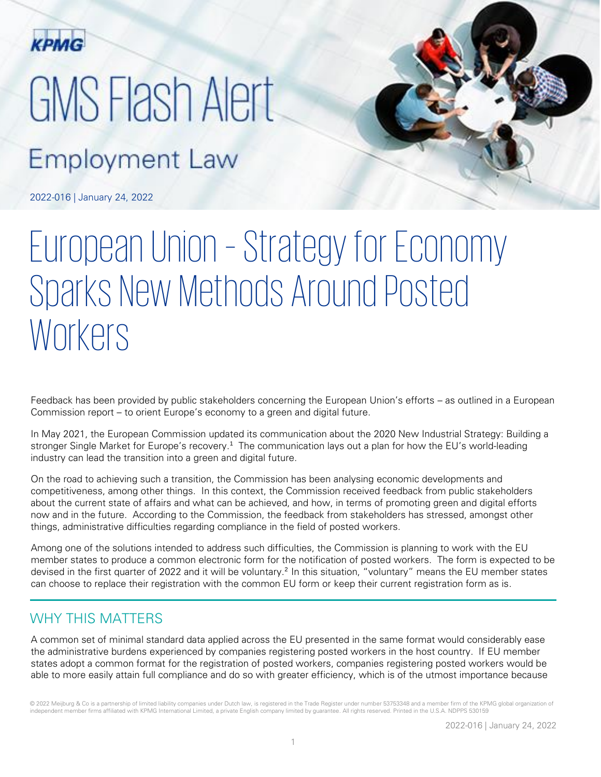

# GMS Flash Alert **Employment Law**

2022-016 | January 24, 2022

## European Union – Strategy for Economy Sparks New Methods Around Posted Workers

Feedback has been provided by public stakeholders concerning the European Union's efforts – as outlined in a European Commission report – to orient Europe's economy to a green and digital future.

In May 2021, the European Commission updated its communication about the 2020 New Industrial Strategy: Building a stronger Single Market for Europe's recovery.<sup>1</sup> The communication lays out a plan for how the EU's world-leading industry can lead the transition into a green and digital future.

On the road to achieving such a transition, the Commission has been analysing economic developments and competitiveness, among other things. In this context, the Commission received feedback from public stakeholders about the current state of affairs and what can be achieved, and how, in terms of promoting green and digital efforts now and in the future. According to the Commission, the feedback from stakeholders has stressed, amongst other things, administrative difficulties regarding compliance in the field of posted workers.

Among one of the solutions intended to address such difficulties, the Commission is planning to work with the EU member states to produce a common electronic form for the notification of posted workers. The form is expected to be devised in the first quarter of 2022 and it will be voluntary.<sup>2</sup> In this situation, "voluntary" means the EU member states can choose to replace their registration with the common EU form or keep their current registration form as is.

## WHY THIS MATTERS

A common set of minimal standard data applied across the EU presented in the same format would considerably ease the administrative burdens experienced by companies registering posted workers in the host country. If EU member states adopt a common format for the registration of posted workers, companies registering posted workers would be able to more easily attain full compliance and do so with greater efficiency, which is of the utmost importance because

© 2022 Meijburg & Co is a partnership of limited liability companies under Dutch law, is registered in the Trade Register under number 53753348 and a member firm of the KPMG global organization of independent member firms affiliated with KPMG International Limited, a private English company limited by guarantee. All rights reserved. Printed in the U.S.A. NDPPS 530159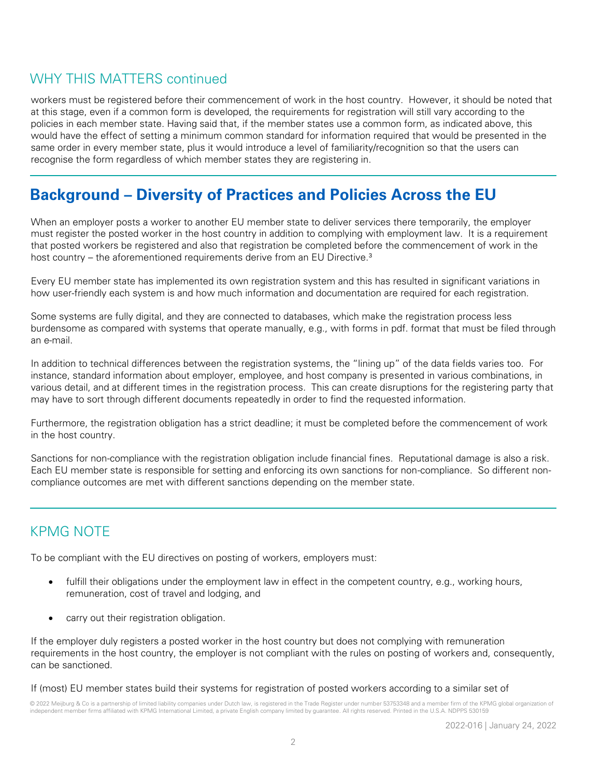## WHY THIS MATTERS continued

workers must be registered before their commencement of work in the host country. However, it should be noted that at this stage, even if a common form is developed, the requirements for registration will still vary according to the policies in each member state. Having said that, if the member states use a common form, as indicated above, this would have the effect of setting a minimum common standard for information required that would be presented in the same order in every member state, plus it would introduce a level of familiarity/recognition so that the users can recognise the form regardless of which member states they are registering in.

## **Background – Diversity of Practices and Policies Across the EU**

When an employer posts a worker to another EU member state to deliver services there temporarily, the employer must register the posted worker in the host country in addition to complying with employment law. It is a requirement that posted workers be registered and also that registration be completed before the commencement of work in the host country – the aforementioned requirements derive from an EU Directive.<sup>3</sup>

Every EU member state has implemented its own registration system and this has resulted in significant variations in how user-friendly each system is and how much information and documentation are required for each registration.

Some systems are fully digital, and they are connected to databases, which make the registration process less burdensome as compared with systems that operate manually, e.g., with forms in pdf. format that must be filed through an e-mail.

In addition to technical differences between the registration systems, the "lining up" of the data fields varies too. For instance, standard information about employer, employee, and host company is presented in various combinations, in various detail, and at different times in the registration process. This can create disruptions for the registering party that may have to sort through different documents repeatedly in order to find the requested information.

Furthermore, the registration obligation has a strict deadline; it must be completed before the commencement of work in the host country.

Sanctions for non-compliance with the registration obligation include financial fines. Reputational damage is also a risk. Each EU member state is responsible for setting and enforcing its own sanctions for non-compliance. So different noncompliance outcomes are met with different sanctions depending on the member state.

#### KPMG NOTE

To be compliant with the EU directives on posting of workers, employers must:

- fulfill their obligations under the employment law in effect in the competent country, e.g., working hours, remuneration, cost of travel and lodging, and
- carry out their registration obligation.

If the employer duly registers a posted worker in the host country but does not complying with remuneration requirements in the host country, the employer is not compliant with the rules on posting of workers and, consequently, can be sanctioned.

If (most) EU member states build their systems for registration of posted workers according to a similar set of

© 2022 Meijburg & Co is a partnership of limited liability companies under Dutch law, is registered in the Trade Register under number 53753348 and a member firm of the KPMG global organization of independent member firms affiliated with KPMG International Limited, a private English company limited by guarantee. All rights reserved. Printed in the U.S.A. NDPPS 530159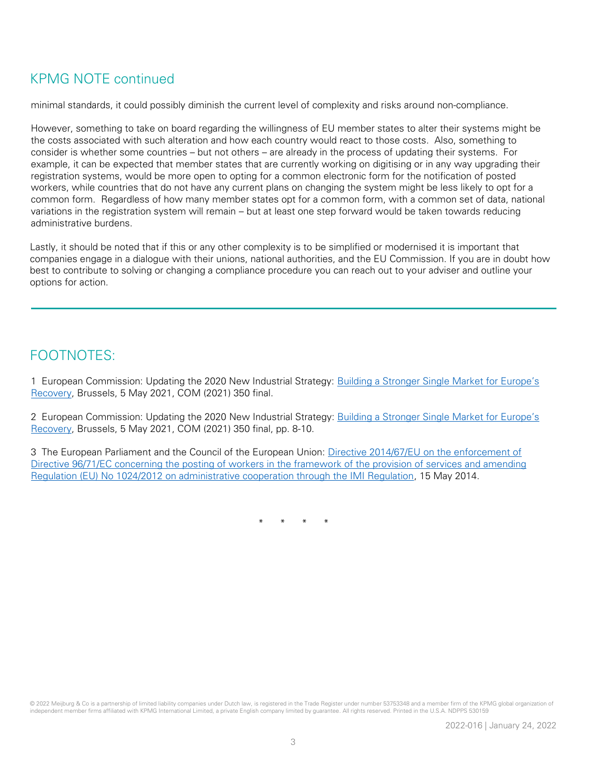### KPMG NOTE continued

minimal standards, it could possibly diminish the current level of complexity and risks around non-compliance.

However, something to take on board regarding the willingness of EU member states to alter their systems might be the costs associated with such alteration and how each country would react to those costs. Also, something to consider is whether some countries – but not others – are already in the process of updating their systems. For example, it can be expected that member states that are currently working on digitising or in any way upgrading their registration systems, would be more open to opting for a common electronic form for the notification of posted workers, while countries that do not have any current plans on changing the system might be less likely to opt for a common form. Regardless of how many member states opt for a common form, with a common set of data, national variations in the registration system will remain – but at least one step forward would be taken towards reducing administrative burdens.

Lastly, it should be noted that if this or any other complexity is to be simplified or modernised it is important that companies engage in a dialogue with their unions, national authorities, and the EU Commission. If you are in doubt how best to contribute to solving or changing a compliance procedure you can reach out to your adviser and outline your options for action.

### FOOTNOTES:

1 European Commission: Updating the 2020 New Industrial Strategy: Building a S[tronger Single Market for Europe's](https://ec.europa.eu/info/sites/default/files/communication-industrial-strategy-update-2020_en.pdf)  [Recovery,](https://ec.europa.eu/info/sites/default/files/communication-industrial-strategy-update-2020_en.pdf) Brussels, 5 May 2021, COM (2021) 350 final.

2 European Commission: Updating the 2020 New Industrial Strategy: Building a S[tronger Single Market for Europe's](https://ec.europa.eu/info/sites/default/files/communication-industrial-strategy-update-2020_en.pdf)  [Recovery,](https://ec.europa.eu/info/sites/default/files/communication-industrial-strategy-update-2020_en.pdf) Brussels, 5 May 2021, COM (2021) 350 final, pp. 8-10.

3 The European Parliament and the Council of the European Union: [Directive 2014/67/EU on the enforcement of](https://eur-lex.europa.eu/legal-content/en/ALL/?uri=CELEX:32014L0067)  [Directive 96/71/EC concerning the posting of workers in the framework of the provision of services and amending](https://eur-lex.europa.eu/legal-content/en/ALL/?uri=CELEX:32014L0067)  [Regulation \(EU\) No 1024/2012 on administrative cooperation through the IMI Regulation,](https://eur-lex.europa.eu/legal-content/en/ALL/?uri=CELEX:32014L0067) 15 May 2014.

\* \* \* \*

© 2022 Meijburg & Co is a partnership of limited liability companies under Dutch law, is registered in the Trade Register under number 53753348 and a member firm of the KPMG global organization of independent member firms affiliated with KPMG International Limited, a private English company limited by guarantee. All rights reserved. Printed in the U.S.A. NDPPS 530159